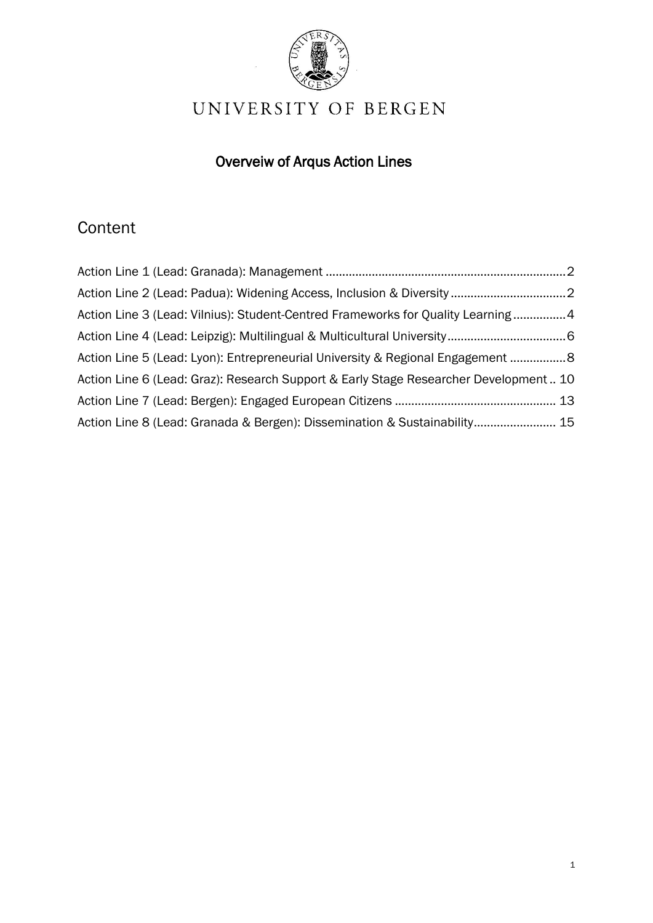

# UNIVERSITY OF BERGEN

# Overveiw of Arqus Action Lines

# **Content**

| Action Line 3 (Lead: Vilnius): Student-Centred Frameworks for Quality Learning4       |  |
|---------------------------------------------------------------------------------------|--|
|                                                                                       |  |
| Action Line 5 (Lead: Lyon): Entrepreneurial University & Regional Engagement 8        |  |
| Action Line 6 (Lead: Graz): Research Support & Early Stage Researcher Development  10 |  |
|                                                                                       |  |
| Action Line 8 (Lead: Granada & Bergen): Dissemination & Sustainability 15             |  |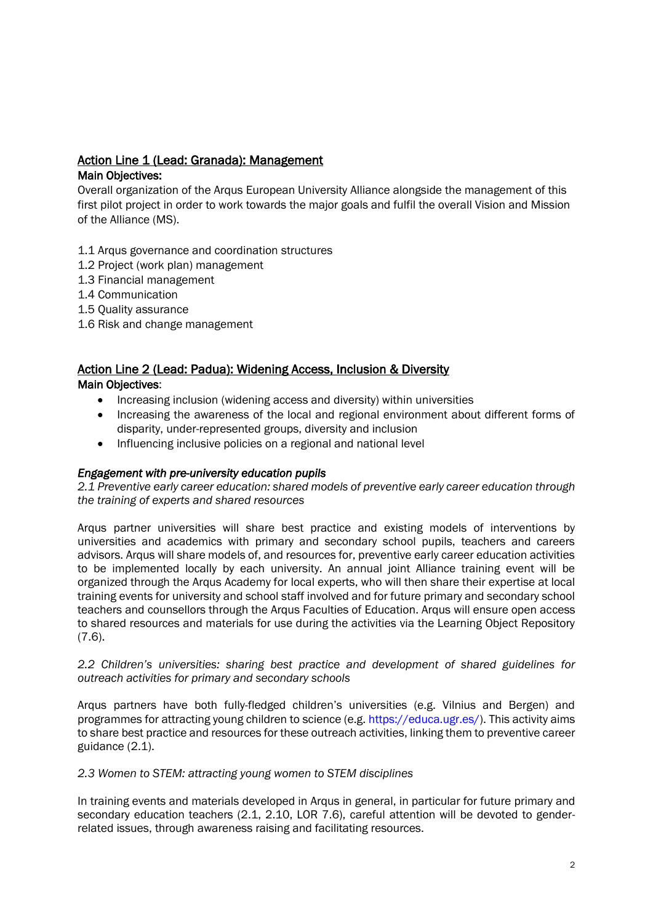# <span id="page-1-0"></span>Action Line 1 (Lead: Granada): Management

# Main Objectives:

Overall organization of the Arqus European University Alliance alongside the management of this first pilot project in order to work towards the major goals and fulfil the overall Vision and Mission of the Alliance (MS).

- 1.1 Arqus governance and coordination structures
- 1.2 Project (work plan) management
- 1.3 Financial management
- 1.4 Communication
- 1.5 Quality assurance
- 1.6 Risk and change management

#### <span id="page-1-1"></span>Action Line 2 (Lead: Padua): Widening Access, Inclusion & Diversity Main Objectives:

- Increasing inclusion (widening access and diversity) within universities
- Increasing the awareness of the local and regional environment about different forms of disparity, under-represented groups, diversity and inclusion
- Influencing inclusive policies on a regional and national level

## *Engagement with pre-university education pupils*

*2.1 Preventive early career education: shared models of preventive early career education through the training of experts and shared resources*

Arqus partner universities will share best practice and existing models of interventions by universities and academics with primary and secondary school pupils, teachers and careers advisors. Arqus will share models of, and resources for, preventive early career education activities to be implemented locally by each university. An annual joint Alliance training event will be organized through the Arqus Academy for local experts, who will then share their expertise at local training events for university and school staff involved and for future primary and secondary school teachers and counsellors through the Arqus Faculties of Education. Arqus will ensure open access to shared resources and materials for use during the activities via the Learning Object Repository (7.6).

## *2.2 Children's universities: sharing best practice and development of shared guidelines for outreach activities for primary and secondary schools*

Arqus partners have both fully-fledged children's universities (e.g. Vilnius and Bergen) and programmes for attracting young children to science (e.g. https://educa.ugr.es/). This activity aims to share best practice and resources for these outreach activities, linking them to preventive career guidance (2.1).

## *2.3 Women to STEM: attracting young women to STEM disciplines*

In training events and materials developed in Arqus in general, in particular for future primary and secondary education teachers (2.1, 2.10, LOR 7.6), careful attention will be devoted to genderrelated issues, through awareness raising and facilitating resources.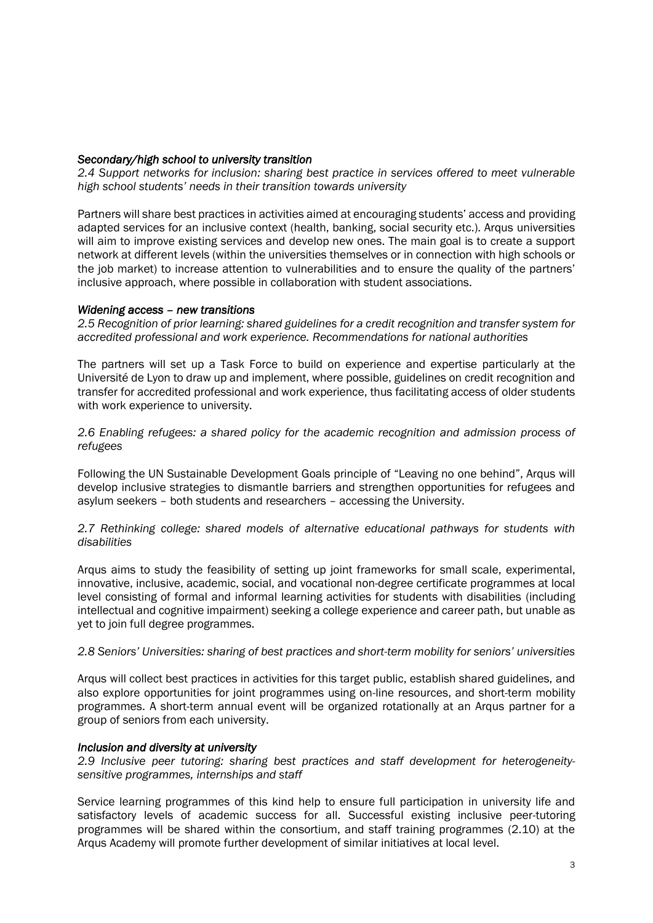#### *Secondary/high school to university transition*

*2.4 Support networks for inclusion: sharing best practice in services offered to meet vulnerable high school students' needs in their transition towards university*

Partners will share best practices in activities aimed at encouraging students' access and providing adapted services for an inclusive context (health, banking, social security etc.). Arqus universities will aim to improve existing services and develop new ones. The main goal is to create a support network at different levels (within the universities themselves or in connection with high schools or the job market) to increase attention to vulnerabilities and to ensure the quality of the partners' inclusive approach, where possible in collaboration with student associations.

#### *Widening access – new transitions*

*2.5 Recognition of prior learning: shared guidelines for a credit recognition and transfer system for accredited professional and work experience. Recommendations for national authorities*

The partners will set up a Task Force to build on experience and expertise particularly at the Université de Lyon to draw up and implement, where possible, guidelines on credit recognition and transfer for accredited professional and work experience, thus facilitating access of older students with work experience to university.

*2.6 Enabling refugees: a shared policy for the academic recognition and admission process of refugees*

Following the UN Sustainable Development Goals principle of "Leaving no one behind", Arqus will develop inclusive strategies to dismantle barriers and strengthen opportunities for refugees and asylum seekers – both students and researchers – accessing the University.

#### *2.7 Rethinking college: shared models of alternative educational pathways for students with disabilities*

Arqus aims to study the feasibility of setting up joint frameworks for small scale, experimental, innovative, inclusive, academic, social, and vocational non-degree certificate programmes at local level consisting of formal and informal learning activities for students with disabilities (including intellectual and cognitive impairment) seeking a college experience and career path, but unable as yet to join full degree programmes.

#### *2.8 Seniors' Universities: sharing of best practices and short-term mobility for seniors' universities*

Arqus will collect best practices in activities for this target public, establish shared guidelines, and also explore opportunities for joint programmes using on-line resources, and short-term mobility programmes. A short-term annual event will be organized rotationally at an Arqus partner for a group of seniors from each university.

#### *Inclusion and diversity at university*

*2.9 Inclusive peer tutoring: sharing best practices and staff development for heterogeneitysensitive programmes, internships and staff*

Service learning programmes of this kind help to ensure full participation in university life and satisfactory levels of academic success for all. Successful existing inclusive peer-tutoring programmes will be shared within the consortium, and staff training programmes (2.10) at the Arqus Academy will promote further development of similar initiatives at local level.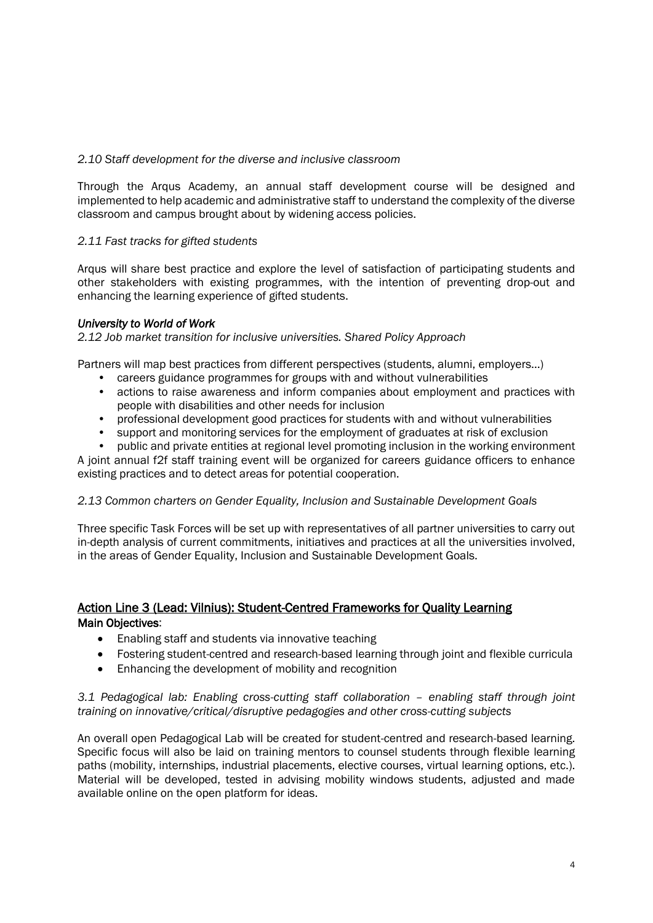#### *2.10 Staff development for the diverse and inclusive classroom*

Through the Arqus Academy, an annual staff development course will be designed and implemented to help academic and administrative staff to understand the complexity of the diverse classroom and campus brought about by widening access policies.

## *2.11 Fast tracks for gifted students*

Arqus will share best practice and explore the level of satisfaction of participating students and other stakeholders with existing programmes, with the intention of preventing drop-out and enhancing the learning experience of gifted students.

#### *University to World of Work*

*2.12 Job market transition for inclusive universities. Shared Policy Approach*

Partners will map best practices from different perspectives (students, alumni, employers…)

- careers guidance programmes for groups with and without vulnerabilities
- actions to raise awareness and inform companies about employment and practices with people with disabilities and other needs for inclusion
- professional development good practices for students with and without vulnerabilities
- support and monitoring services for the employment of graduates at risk of exclusion
- public and private entities at regional level promoting inclusion in the working environment

A joint annual f2f staff training event will be organized for careers guidance officers to enhance existing practices and to detect areas for potential cooperation.

#### *2.13 Common charters on Gender Equality, Inclusion and Sustainable Development Goals*

Three specific Task Forces will be set up with representatives of all partner universities to carry out in-depth analysis of current commitments, initiatives and practices at all the universities involved, in the areas of Gender Equality, Inclusion and Sustainable Development Goals.

# <span id="page-3-0"></span>Action Line 3 (Lead: Vilnius): Student-Centred Frameworks for Quality Learning Main Objectives:

- Enabling staff and students via innovative teaching
- Fostering student-centred and research-based learning through joint and flexible curricula
- Enhancing the development of mobility and recognition

#### *3.1 Pedagogical lab: Enabling cross-cutting staff collaboration – enabling staff through joint training on innovative/critical/disruptive pedagogies and other cross-cutting subjects*

An overall open Pedagogical Lab will be created for student-centred and research-based learning. Specific focus will also be laid on training mentors to counsel students through flexible learning paths (mobility, internships, industrial placements, elective courses, virtual learning options, etc.). Material will be developed, tested in advising mobility windows students, adjusted and made available online on the open platform for ideas.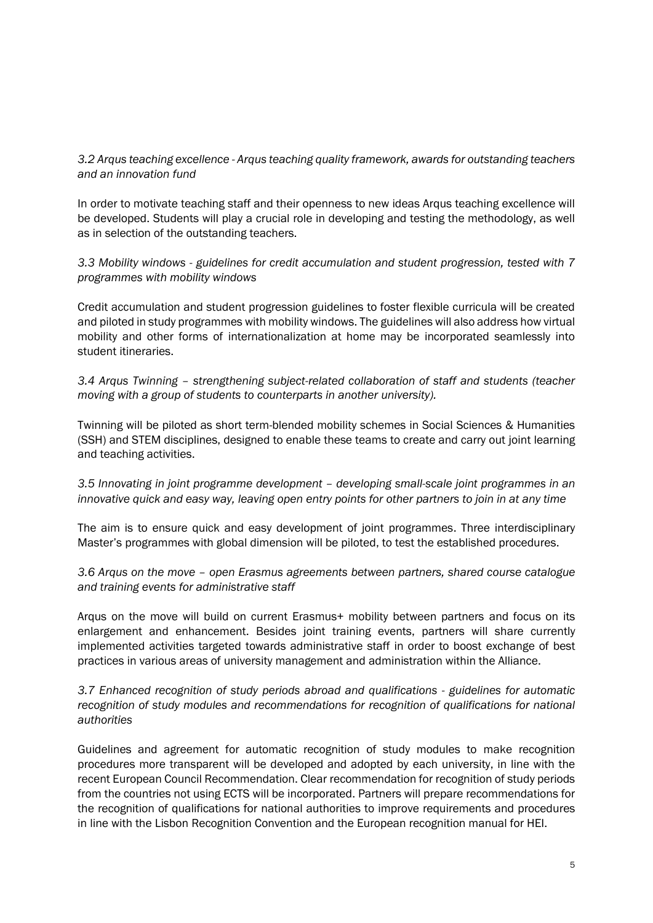# *3.2 Arqus teaching excellence - Arqus teaching quality framework, awards for outstanding teachers and an innovation fund*

In order to motivate teaching staff and their openness to new ideas Arqus teaching excellence will be developed. Students will play a crucial role in developing and testing the methodology, as well as in selection of the outstanding teachers.

*3.3 Mobility windows - guidelines for credit accumulation and student progression, tested with 7 programmes with mobility windows*

Credit accumulation and student progression guidelines to foster flexible curricula will be created and piloted in study programmes with mobility windows. The guidelines will also address how virtual mobility and other forms of internationalization at home may be incorporated seamlessly into student itineraries.

*3.4 Arqus Twinning – strengthening subject-related collaboration of staff and students (teacher moving with a group of students to counterparts in another university).*

Twinning will be piloted as short term-blended mobility schemes in Social Sciences & Humanities (SSH) and STEM disciplines, designed to enable these teams to create and carry out joint learning and teaching activities.

*3.5 Innovating in joint programme development – developing small-scale joint programmes in an innovative quick and easy way, leaving open entry points for other partners to join in at any time*

The aim is to ensure quick and easy development of joint programmes. Three interdisciplinary Master's programmes with global dimension will be piloted, to test the established procedures.

*3.6 Arqus on the move – open Erasmus agreements between partners, shared course catalogue and training events for administrative staff*

Arqus on the move will build on current Erasmus+ mobility between partners and focus on its enlargement and enhancement. Besides joint training events, partners will share currently implemented activities targeted towards administrative staff in order to boost exchange of best practices in various areas of university management and administration within the Alliance.

## *3.7 Enhanced recognition of study periods abroad and qualifications - guidelines for automatic recognition of study modules and recommendations for recognition of qualifications for national authorities*

Guidelines and agreement for automatic recognition of study modules to make recognition procedures more transparent will be developed and adopted by each university, in line with the recent European Council Recommendation. Clear recommendation for recognition of study periods from the countries not using ECTS will be incorporated. Partners will prepare recommendations for the recognition of qualifications for national authorities to improve requirements and procedures in line with the Lisbon Recognition Convention and the European recognition manual for HEI.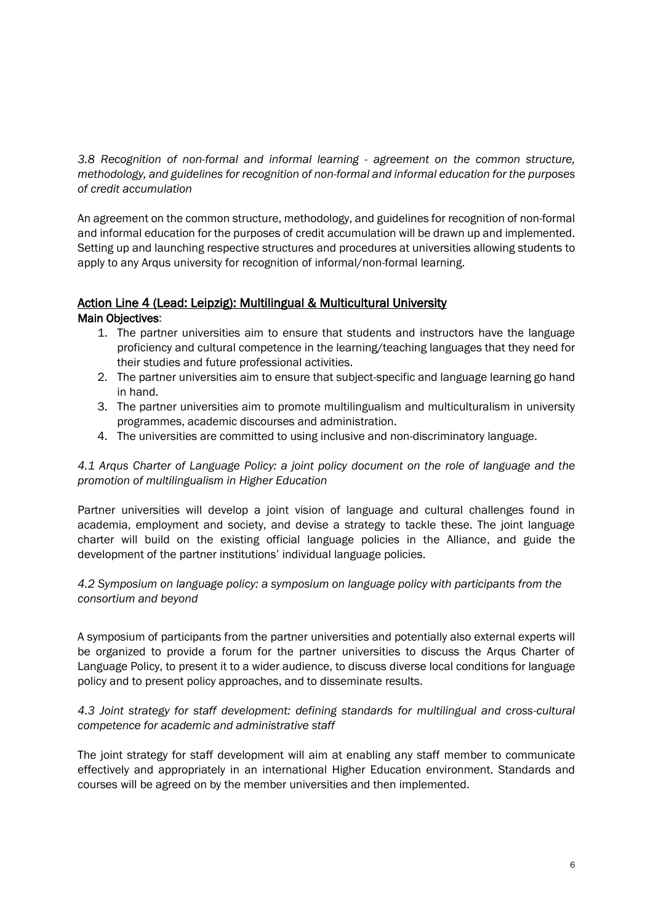*3.8 Recognition of non-formal and informal learning - agreement on the common structure, methodology, and guidelines for recognition of non-formal and informal education for the purposes of credit accumulation*

An agreement on the common structure, methodology, and guidelines for recognition of non-formal and informal education for the purposes of credit accumulation will be drawn up and implemented. Setting up and launching respective structures and procedures at universities allowing students to apply to any Arqus university for recognition of informal/non-formal learning.

# <span id="page-5-0"></span>Action Line 4 (Lead: Leipzig): Multilingual & Multicultural University

Main Objectives:

- 1. The partner universities aim to ensure that students and instructors have the language proficiency and cultural competence in the learning/teaching languages that they need for their studies and future professional activities.
- 2. The partner universities aim to ensure that subject-specific and language learning go hand in hand.
- 3. The partner universities aim to promote multilingualism and multiculturalism in university programmes, academic discourses and administration.
- 4. The universities are committed to using inclusive and non-discriminatory language.

*4.1 Arqus Charter of Language Policy: a joint policy document on the role of language and the promotion of multilingualism in Higher Education*

Partner universities will develop a joint vision of language and cultural challenges found in academia, employment and society, and devise a strategy to tackle these. The joint language charter will build on the existing official language policies in the Alliance, and guide the development of the partner institutions' individual language policies.

*4.2 Symposium on language policy: a symposium on language policy with participants from the consortium and beyond*

A symposium of participants from the partner universities and potentially also external experts will be organized to provide a forum for the partner universities to discuss the Arqus Charter of Language Policy, to present it to a wider audience, to discuss diverse local conditions for language policy and to present policy approaches, and to disseminate results.

*4.3 Joint strategy for staff development: defining standards for multilingual and cross-cultural competence for academic and administrative staff*

The joint strategy for staff development will aim at enabling any staff member to communicate effectively and appropriately in an international Higher Education environment. Standards and courses will be agreed on by the member universities and then implemented.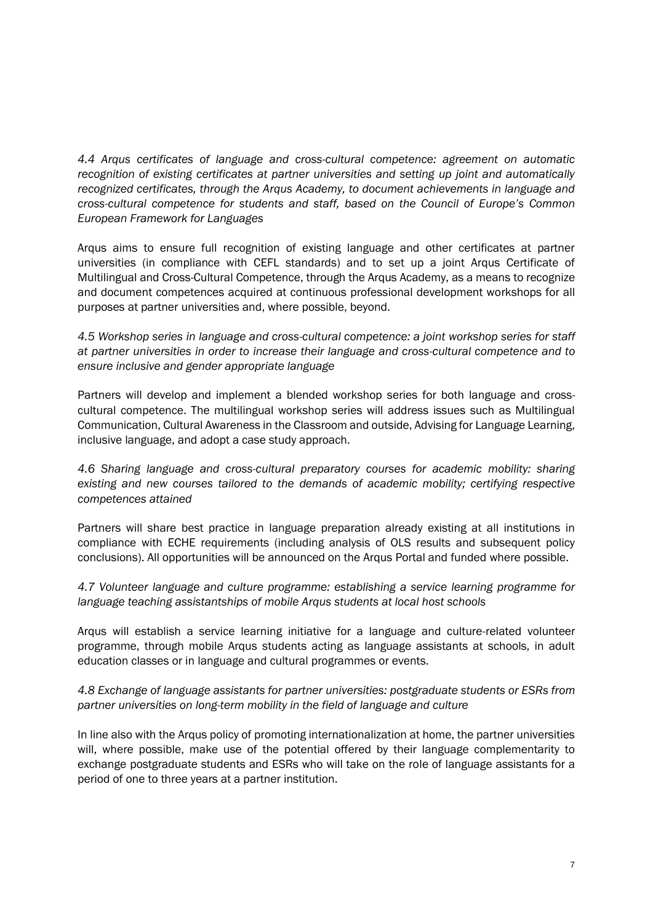*4.4 Arqus certificates of language and cross-cultural competence: agreement on automatic recognition of existing certificates at partner universities and setting up joint and automatically recognized certificates, through the Arqus Academy, to document achievements in language and cross-cultural competence for students and staff, based on the Council of Europe's Common European Framework for Languages*

Arqus aims to ensure full recognition of existing language and other certificates at partner universities (in compliance with CEFL standards) and to set up a joint Arqus Certificate of Multilingual and Cross-Cultural Competence, through the Arqus Academy, as a means to recognize and document competences acquired at continuous professional development workshops for all purposes at partner universities and, where possible, beyond.

*4.5 Workshop series in language and cross-cultural competence: a joint workshop series for staff at partner universities in order to increase their language and cross-cultural competence and to ensure inclusive and gender appropriate language*

Partners will develop and implement a blended workshop series for both language and crosscultural competence. The multilingual workshop series will address issues such as Multilingual Communication, Cultural Awareness in the Classroom and outside, Advising for Language Learning, inclusive language, and adopt a case study approach.

*4.6 Sharing language and cross-cultural preparatory courses for academic mobility: sharing existing and new courses tailored to the demands of academic mobility; certifying respective competences attained*

Partners will share best practice in language preparation already existing at all institutions in compliance with ECHE requirements (including analysis of OLS results and subsequent policy conclusions). All opportunities will be announced on the Arqus Portal and funded where possible.

*4.7 Volunteer language and culture programme: establishing a service learning programme for language teaching assistantships of mobile Arqus students at local host schools*

Arqus will establish a service learning initiative for a language and culture-related volunteer programme, through mobile Arqus students acting as language assistants at schools, in adult education classes or in language and cultural programmes or events.

## *4.8 Exchange of language assistants for partner universities: postgraduate students or ESRs from partner universities on long-term mobility in the field of language and culture*

In line also with the Arqus policy of promoting internationalization at home, the partner universities will, where possible, make use of the potential offered by their language complementarity to exchange postgraduate students and ESRs who will take on the role of language assistants for a period of one to three years at a partner institution.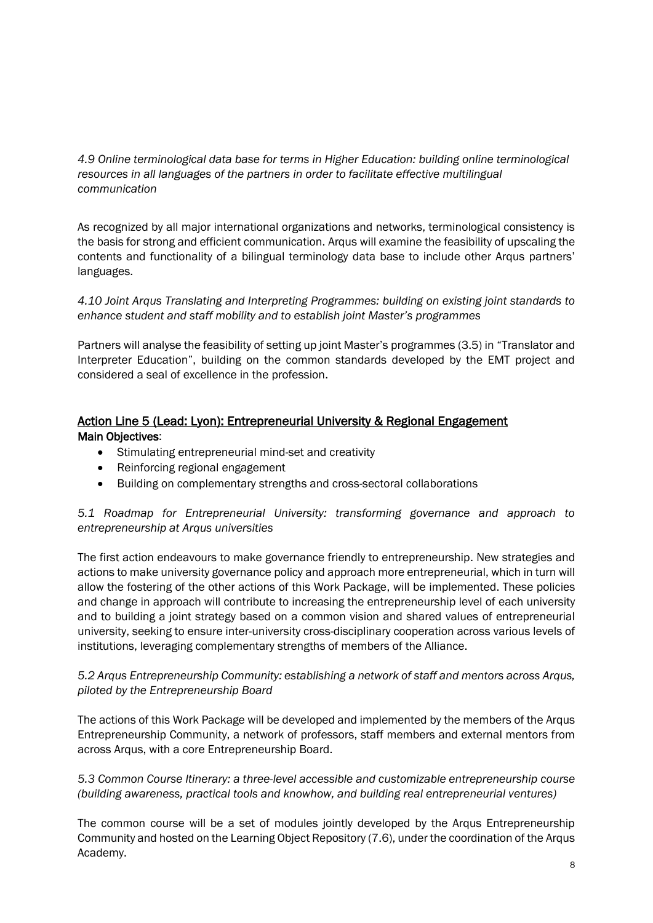*4.9 Online terminological data base for terms in Higher Education: building online terminological resources in all languages of the partners in order to facilitate effective multilingual communication*

As recognized by all major international organizations and networks, terminological consistency is the basis for strong and efficient communication. Arqus will examine the feasibility of upscaling the contents and functionality of a bilingual terminology data base to include other Arqus partners' languages.

*4.10 Joint Arqus Translating and Interpreting Programmes: building on existing joint standards to enhance student and staff mobility and to establish joint Master's programmes*

Partners will analyse the feasibility of setting up joint Master's programmes (3.5) in "Translator and Interpreter Education", building on the common standards developed by the EMT project and considered a seal of excellence in the profession.

# <span id="page-7-0"></span>Action Line 5 (Lead: Lyon): Entrepreneurial University & Regional Engagement Main Objectives:

- Stimulating entrepreneurial mind-set and creativity
- Reinforcing regional engagement
- Building on complementary strengths and cross-sectoral collaborations

*5.1 Roadmap for Entrepreneurial University: transforming governance and approach to entrepreneurship at Arqus universities* 

The first action endeavours to make governance friendly to entrepreneurship. New strategies and actions to make university governance policy and approach more entrepreneurial, which in turn will allow the fostering of the other actions of this Work Package, will be implemented. These policies and change in approach will contribute to increasing the entrepreneurship level of each university and to building a joint strategy based on a common vision and shared values of entrepreneurial university, seeking to ensure inter-university cross-disciplinary cooperation across various levels of institutions, leveraging complementary strengths of members of the Alliance.

*5.2 Arqus Entrepreneurship Community: establishing a network of staff and mentors across Arqus, piloted by the Entrepreneurship Board* 

The actions of this Work Package will be developed and implemented by the members of the Arqus Entrepreneurship Community, a network of professors, staff members and external mentors from across Arqus, with a core Entrepreneurship Board.

*5.3 Common Course Itinerary: a three-level accessible and customizable entrepreneurship course (building awareness, practical tools and knowhow, and building real entrepreneurial ventures)* 

The common course will be a set of modules jointly developed by the Arqus Entrepreneurship Community and hosted on the Learning Object Repository (7.6), under the coordination of the Arqus Academy.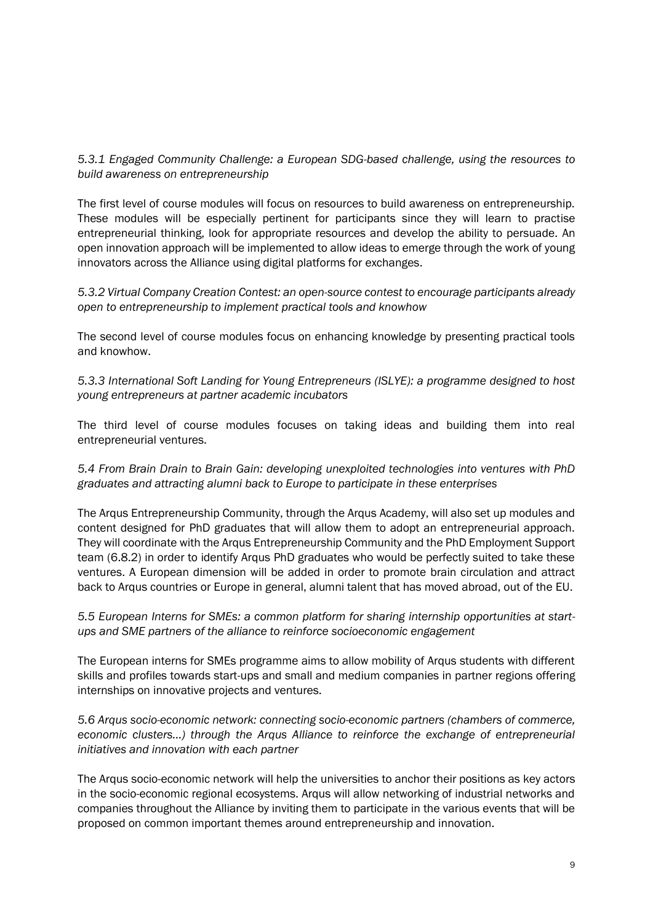# *5.3.1 Engaged Community Challenge: a European SDG-based challenge, using the resources to build awareness on entrepreneurship*

The first level of course modules will focus on resources to build awareness on entrepreneurship. These modules will be especially pertinent for participants since they will learn to practise entrepreneurial thinking, look for appropriate resources and develop the ability to persuade. An open innovation approach will be implemented to allow ideas to emerge through the work of young innovators across the Alliance using digital platforms for exchanges.

*5.3.2 Virtual Company Creation Contest: an open-source contest to encourage participants already open to entrepreneurship to implement practical tools and knowhow* 

The second level of course modules focus on enhancing knowledge by presenting practical tools and knowhow.

*5.3.3 International Soft Landing for Young Entrepreneurs (ISLYE): a programme designed to host young entrepreneurs at partner academic incubators* 

The third level of course modules focuses on taking ideas and building them into real entrepreneurial ventures.

*5.4 From Brain Drain to Brain Gain: developing unexploited technologies into ventures with PhD graduates and attracting alumni back to Europe to participate in these enterprises* 

The Arqus Entrepreneurship Community, through the Arqus Academy, will also set up modules and content designed for PhD graduates that will allow them to adopt an entrepreneurial approach. They will coordinate with the Arqus Entrepreneurship Community and the PhD Employment Support team (6.8.2) in order to identify Arqus PhD graduates who would be perfectly suited to take these ventures. A European dimension will be added in order to promote brain circulation and attract back to Arqus countries or Europe in general, alumni talent that has moved abroad, out of the EU.

*5.5 European Interns for SMEs: a common platform for sharing internship opportunities at startups and SME partners of the alliance to reinforce socioeconomic engagement* 

The European interns for SMEs programme aims to allow mobility of Arqus students with different skills and profiles towards start-ups and small and medium companies in partner regions offering internships on innovative projects and ventures.

*5.6 Arqus socio-economic network: connecting socio-economic partners (chambers of commerce, economic clusters...) through the Arqus Alliance to reinforce the exchange of entrepreneurial initiatives and innovation with each partner* 

The Arqus socio-economic network will help the universities to anchor their positions as key actors in the socio-economic regional ecosystems. Arqus will allow networking of industrial networks and companies throughout the Alliance by inviting them to participate in the various events that will be proposed on common important themes around entrepreneurship and innovation.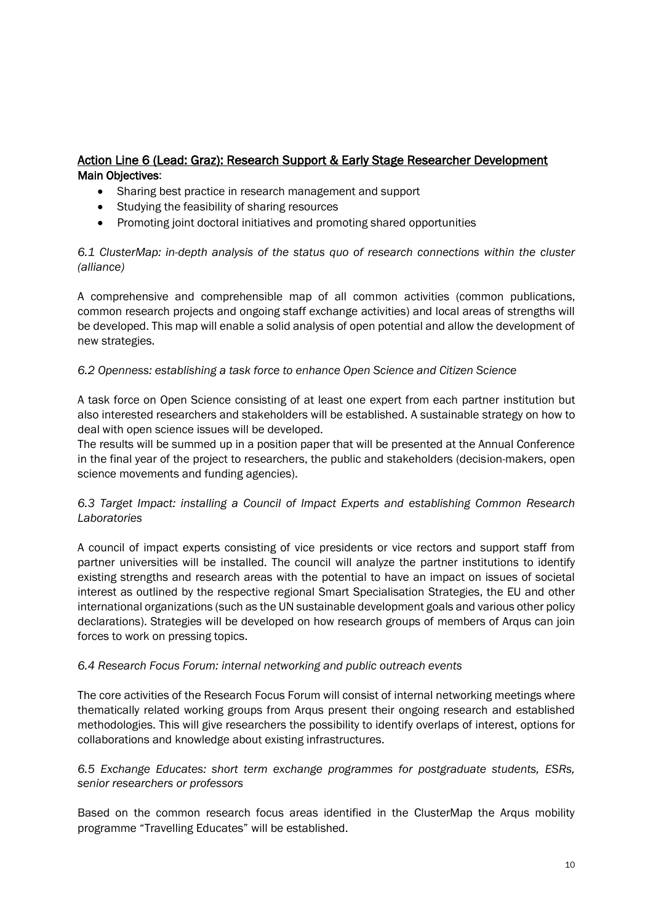# <span id="page-9-0"></span>Action Line 6 (Lead: Graz): Research Support & Early Stage Researcher Development Main Objectives:

- Sharing best practice in research management and support
- Studying the feasibility of sharing resources
- Promoting joint doctoral initiatives and promoting shared opportunities

## *6.1 ClusterMap: in-depth analysis of the status quo of research connections within the cluster (alliance)*

A comprehensive and comprehensible map of all common activities (common publications, common research projects and ongoing staff exchange activities) and local areas of strengths will be developed. This map will enable a solid analysis of open potential and allow the development of new strategies.

#### *6.2 Openness: establishing a task force to enhance Open Science and Citizen Science*

A task force on Open Science consisting of at least one expert from each partner institution but also interested researchers and stakeholders will be established. A sustainable strategy on how to deal with open science issues will be developed.

The results will be summed up in a position paper that will be presented at the Annual Conference in the final year of the project to researchers, the public and stakeholders (decision-makers, open science movements and funding agencies).

## *6.3 Target Impact: installing a Council of Impact Experts and establishing Common Research Laboratories*

A council of impact experts consisting of vice presidents or vice rectors and support staff from partner universities will be installed. The council will analyze the partner institutions to identify existing strengths and research areas with the potential to have an impact on issues of societal interest as outlined by the respective regional Smart Specialisation Strategies, the EU and other international organizations (such as the UN sustainable development goals and various other policy declarations). Strategies will be developed on how research groups of members of Arqus can join forces to work on pressing topics.

## *6.4 Research Focus Forum: internal networking and public outreach events*

The core activities of the Research Focus Forum will consist of internal networking meetings where thematically related working groups from Arqus present their ongoing research and established methodologies. This will give researchers the possibility to identify overlaps of interest, options for collaborations and knowledge about existing infrastructures.

## *6.5 Exchange Educates: short term exchange programmes for postgraduate students, ESRs, senior researchers or professors*

Based on the common research focus areas identified in the ClusterMap the Arqus mobility programme "Travelling Educates" will be established.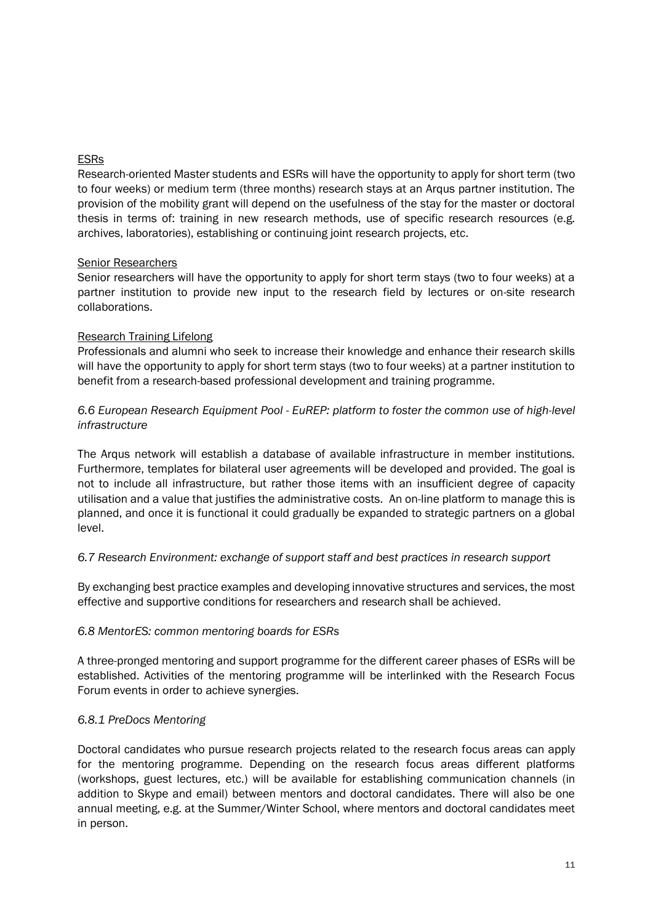## ESRs

Research-oriented Master students and ESRs will have the opportunity to apply for short term (two to four weeks) or medium term (three months) research stays at an Arqus partner institution. The provision of the mobility grant will depend on the usefulness of the stay for the master or doctoral thesis in terms of: training in new research methods, use of specific research resources (e.g. archives, laboratories), establishing or continuing joint research projects, etc.

## Senior Researchers

Senior researchers will have the opportunity to apply for short term stays (two to four weeks) at a partner institution to provide new input to the research field by lectures or on-site research collaborations.

## Research Training Lifelong

Professionals and alumni who seek to increase their knowledge and enhance their research skills will have the opportunity to apply for short term stays (two to four weeks) at a partner institution to benefit from a research-based professional development and training programme.

## *6.6 European Research Equipment Pool - EuREP: platform to foster the common use of high-level infrastructure*

The Arqus network will establish a database of available infrastructure in member institutions. Furthermore, templates for bilateral user agreements will be developed and provided. The goal is not to include all infrastructure, but rather those items with an insufficient degree of capacity utilisation and a value that justifies the administrative costs. An on-line platform to manage this is planned, and once it is functional it could gradually be expanded to strategic partners on a global level.

## *6.7 Research Environment: exchange of support staff and best practices in research support*

By exchanging best practice examples and developing innovative structures and services, the most effective and supportive conditions for researchers and research shall be achieved.

## *6.8 MentorES: common mentoring boards for ESRs*

A three-pronged mentoring and support programme for the different career phases of ESRs will be established. Activities of the mentoring programme will be interlinked with the Research Focus Forum events in order to achieve synergies.

## *6.8.1 PreDocs Mentoring*

Doctoral candidates who pursue research projects related to the research focus areas can apply for the mentoring programme. Depending on the research focus areas different platforms (workshops, guest lectures, etc.) will be available for establishing communication channels (in addition to Skype and email) between mentors and doctoral candidates. There will also be one annual meeting, e.g. at the Summer/Winter School, where mentors and doctoral candidates meet in person.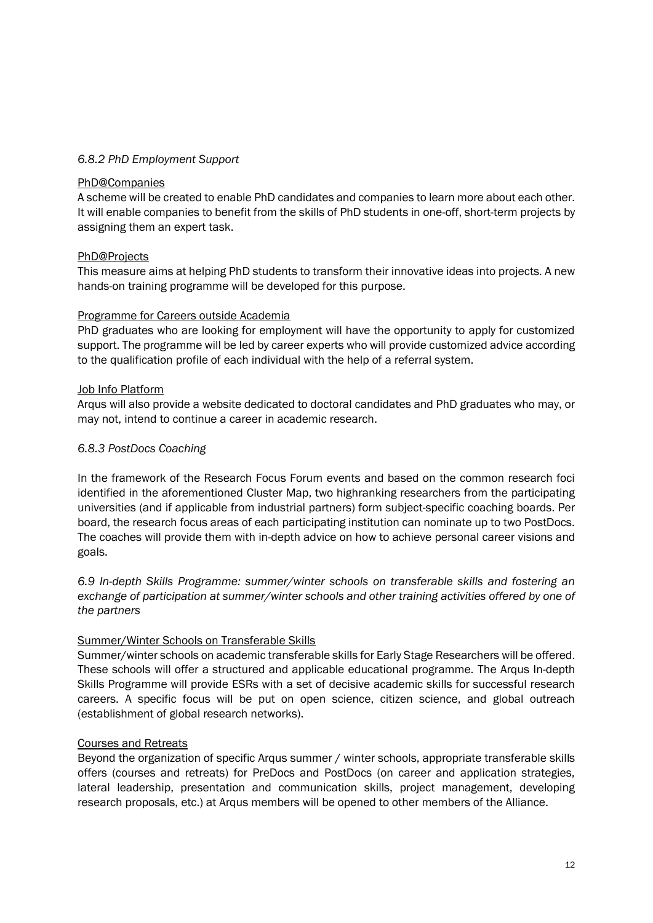#### *6.8.2 PhD Employment Support*

#### PhD@Companies

A scheme will be created to enable PhD candidates and companies to learn more about each other. It will enable companies to benefit from the skills of PhD students in one-off, short-term projects by assigning them an expert task.

#### PhD@Projects

This measure aims at helping PhD students to transform their innovative ideas into projects. A new hands-on training programme will be developed for this purpose.

#### Programme for Careers outside Academia

PhD graduates who are looking for employment will have the opportunity to apply for customized support. The programme will be led by career experts who will provide customized advice according to the qualification profile of each individual with the help of a referral system.

#### Job Info Platform

Arqus will also provide a website dedicated to doctoral candidates and PhD graduates who may, or may not, intend to continue a career in academic research.

#### *6.8.3 PostDocs Coaching*

In the framework of the Research Focus Forum events and based on the common research foci identified in the aforementioned Cluster Map, two highranking researchers from the participating universities (and if applicable from industrial partners) form subject-specific coaching boards. Per board, the research focus areas of each participating institution can nominate up to two PostDocs. The coaches will provide them with in-depth advice on how to achieve personal career visions and goals.

*6.9 In-depth Skills Programme: summer/winter schools on transferable skills and fostering an exchange of participation at summer/winter schools and other training activities offered by one of the partners* 

## Summer/Winter Schools on Transferable Skills

Summer/winter schools on academic transferable skills for Early Stage Researchers will be offered. These schools will offer a structured and applicable educational programme. The Arqus In-depth Skills Programme will provide ESRs with a set of decisive academic skills for successful research careers. A specific focus will be put on open science, citizen science, and global outreach (establishment of global research networks).

#### Courses and Retreats

Beyond the organization of specific Arqus summer / winter schools, appropriate transferable skills offers (courses and retreats) for PreDocs and PostDocs (on career and application strategies, lateral leadership, presentation and communication skills, project management, developing research proposals, etc.) at Arqus members will be opened to other members of the Alliance.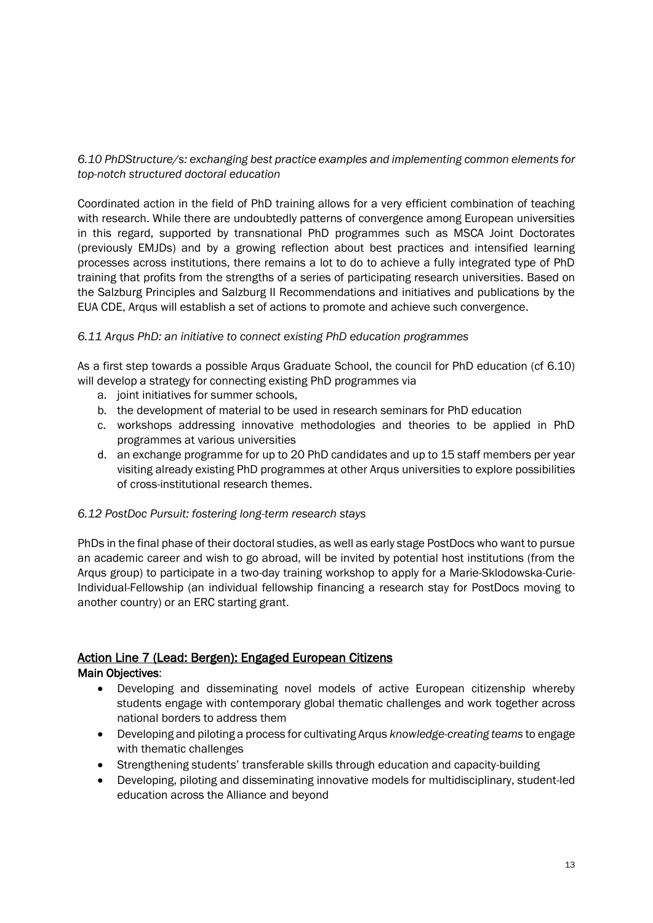# *6.10 PhDStructure/s: exchanging best practice examples and implementing common elements for top-notch structured doctoral education*

Coordinated action in the field of PhD training allows for a very efficient combination of teaching with research. While there are undoubtedly patterns of convergence among European universities in this regard, supported by transnational PhD programmes such as MSCA Joint Doctorates (previously EMJDs) and by a growing reflection about best practices and intensified learning processes across institutions, there remains a lot to do to achieve a fully integrated type of PhD training that profits from the strengths of a series of participating research universities. Based on the Salzburg Principles and Salzburg II Recommendations and initiatives and publications by the EUA CDE, Arqus will establish a set of actions to promote and achieve such convergence.

## *6.11 Arqus PhD: an initiative to connect existing PhD education programmes*

As a first step towards a possible Arqus Graduate School, the council for PhD education (cf 6.10) will develop a strategy for connecting existing PhD programmes via

- a. joint initiatives for summer schools,
- b. the development of material to be used in research seminars for PhD education
- c. workshops addressing innovative methodologies and theories to be applied in PhD programmes at various universities
- d. an exchange programme for up to 20 PhD candidates and up to 15 staff members per year visiting already existing PhD programmes at other Arqus universities to explore possibilities of cross-institutional research themes.

## *6.12 PostDoc Pursuit: fostering long-term research stays*

PhDs in the final phase of their doctoral studies, as well as early stage PostDocs who want to pursue an academic career and wish to go abroad, will be invited by potential host institutions (from the Arqus group) to participate in a two-day training workshop to apply for a Marie-Sklodowska-Curie-Individual-Fellowship (an individual fellowship financing a research stay for PostDocs moving to another country) or an ERC starting grant.

# <span id="page-12-0"></span>Action Line 7 (Lead: Bergen): Engaged European Citizens

## Main Objectives:

- Developing and disseminating novel models of active European citizenship whereby students engage with contemporary global thematic challenges and work together across national borders to address them
- Developing and piloting a process for cultivating Arqus *knowledge-creating teams* to engage with thematic challenges
- Strengthening students' transferable skills through education and capacity-building
- Developing, piloting and disseminating innovative models for multidisciplinary, student-led education across the Alliance and beyond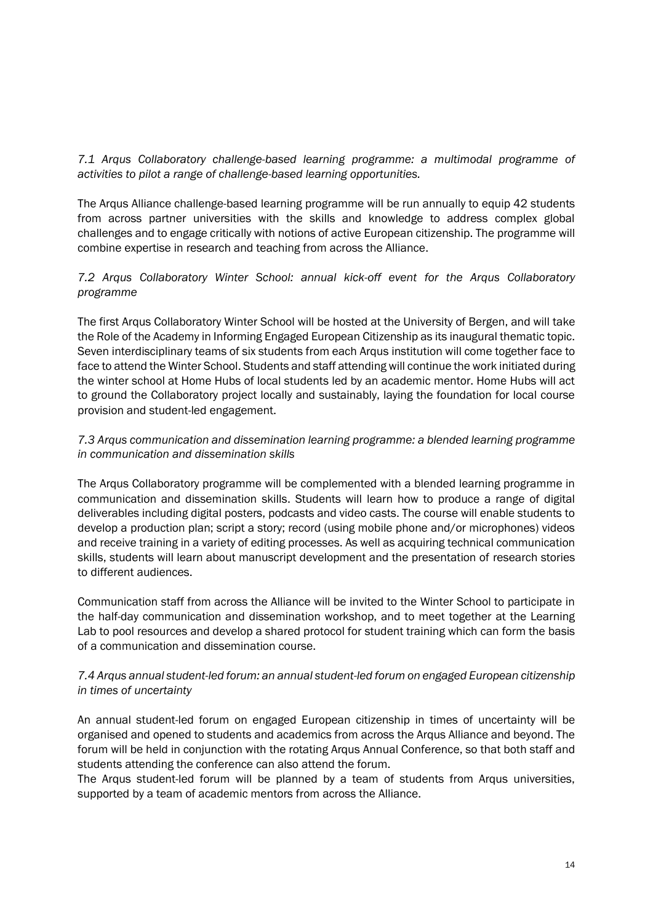*7.1 Arqus Collaboratory challenge-based learning programme: a multimodal programme of activities to pilot a range of challenge-based learning opportunities.* 

The Arqus Alliance challenge-based learning programme will be run annually to equip 42 students from across partner universities with the skills and knowledge to address complex global challenges and to engage critically with notions of active European citizenship. The programme will combine expertise in research and teaching from across the Alliance.

# *7.2 Arqus Collaboratory Winter School: annual kick-off event for the Arqus Collaboratory programme*

The first Arqus Collaboratory Winter School will be hosted at the University of Bergen, and will take the Role of the Academy in Informing Engaged European Citizenship as its inaugural thematic topic. Seven interdisciplinary teams of six students from each Arqus institution will come together face to face to attend the Winter School. Students and staff attending will continue the work initiated during the winter school at Home Hubs of local students led by an academic mentor. Home Hubs will act to ground the Collaboratory project locally and sustainably, laying the foundation for local course provision and student-led engagement.

# *7.3 Arqus communication and dissemination learning programme: a blended learning programme in communication and dissemination skills*

The Arqus Collaboratory programme will be complemented with a blended learning programme in communication and dissemination skills. Students will learn how to produce a range of digital deliverables including digital posters, podcasts and video casts. The course will enable students to develop a production plan; script a story; record (using mobile phone and/or microphones) videos and receive training in a variety of editing processes. As well as acquiring technical communication skills, students will learn about manuscript development and the presentation of research stories to different audiences.

Communication staff from across the Alliance will be invited to the Winter School to participate in the half-day communication and dissemination workshop, and to meet together at the Learning Lab to pool resources and develop a shared protocol for student training which can form the basis of a communication and dissemination course.

# *7.4 Arqus annual student-led forum: an annual student-led forum on engaged European citizenship in times of uncertainty*

An annual student-led forum on engaged European citizenship in times of uncertainty will be organised and opened to students and academics from across the Arqus Alliance and beyond. The forum will be held in conjunction with the rotating Arqus Annual Conference, so that both staff and students attending the conference can also attend the forum.

The Arqus student-led forum will be planned by a team of students from Arqus universities, supported by a team of academic mentors from across the Alliance.